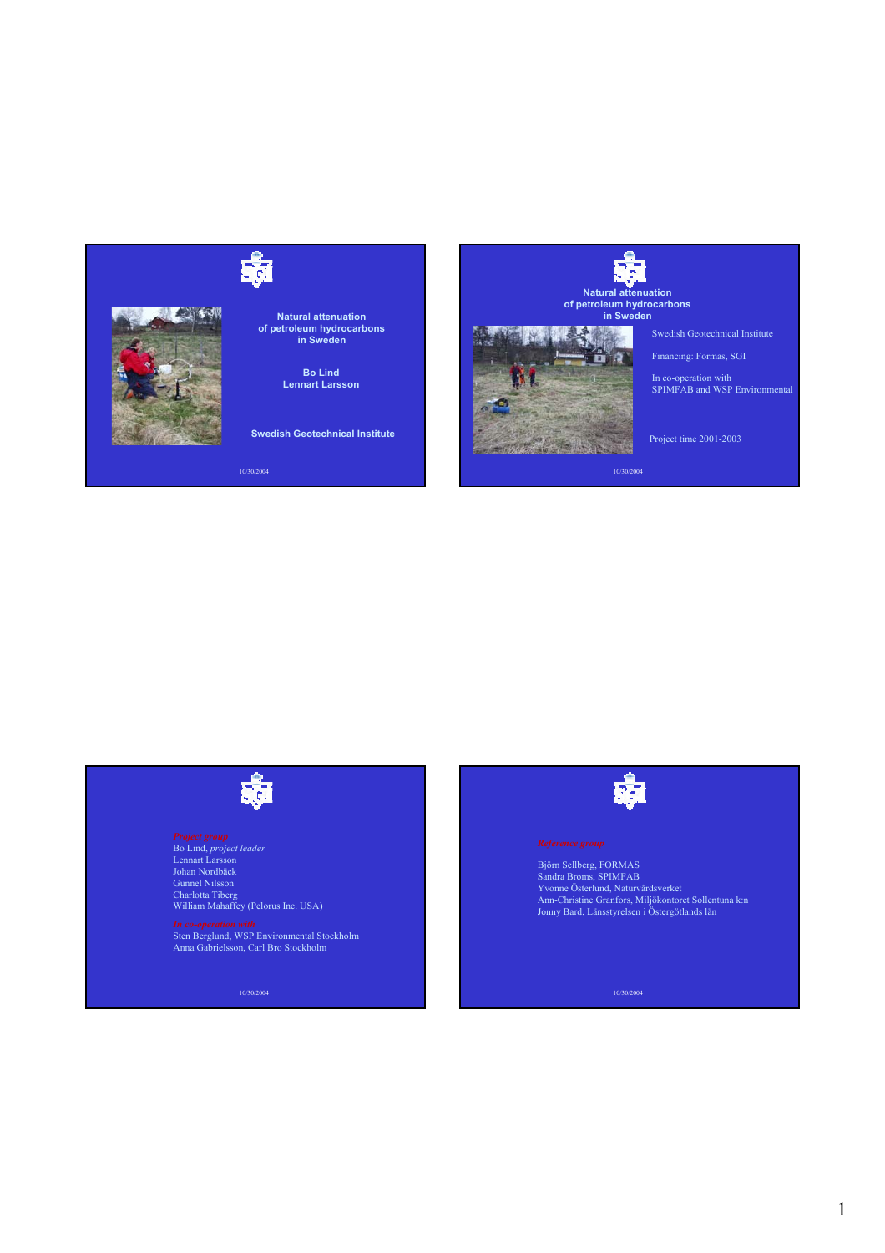



**Natural attenuation of petroleum hydrocarbons in Sweden**

> **Bo Lind Lennart Larsson**

**Swedish Geotechnical Institute**

10/30/2004



Swedish Geotechnical Institute

Financing: Formas, SGI

In co-operation with SPIMFAB and WSP Environmental

Project time 2001-2003

10/30/2004

*Project group* Bo Lind, *project leader* Lennart Larsson Johan Nordbäck Gunnel Nilsson Charlotta Tiberg William Mahaffey (Pelorus Inc. USA)

*In co-operation with* Sten Berglund, WSP Environmental Stockholm Anna Gabrielsson, Carl Bro Stockholm

10/30/2004



Björn Sellberg, FORMAS Sandra Broms, SPIMFAB Yvonne Österlund, Naturvårdsverket Ann-Christine Granfors, Miljökontoret Sollentuna k:n Jonny Bard, Länsstyrelsen i Östergötlands län

10/30/2004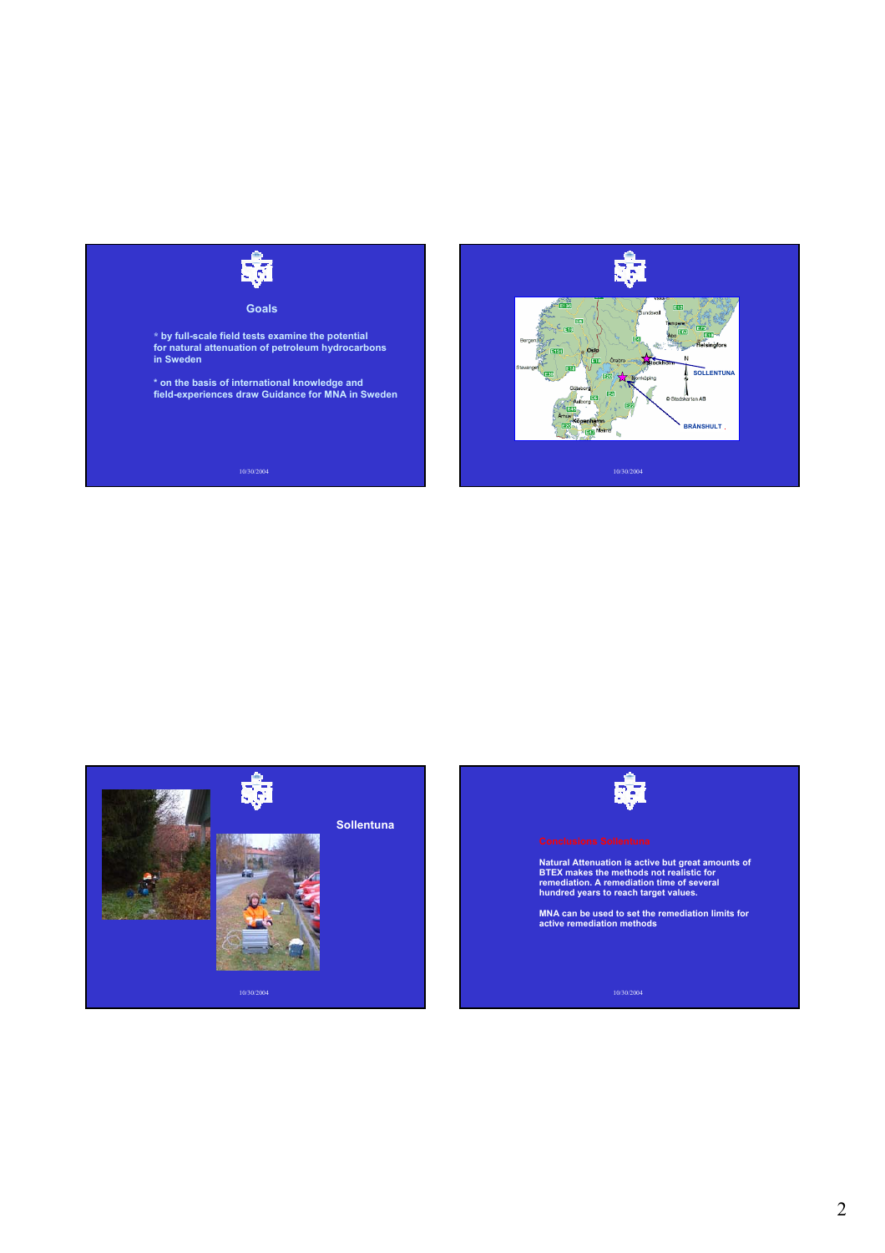